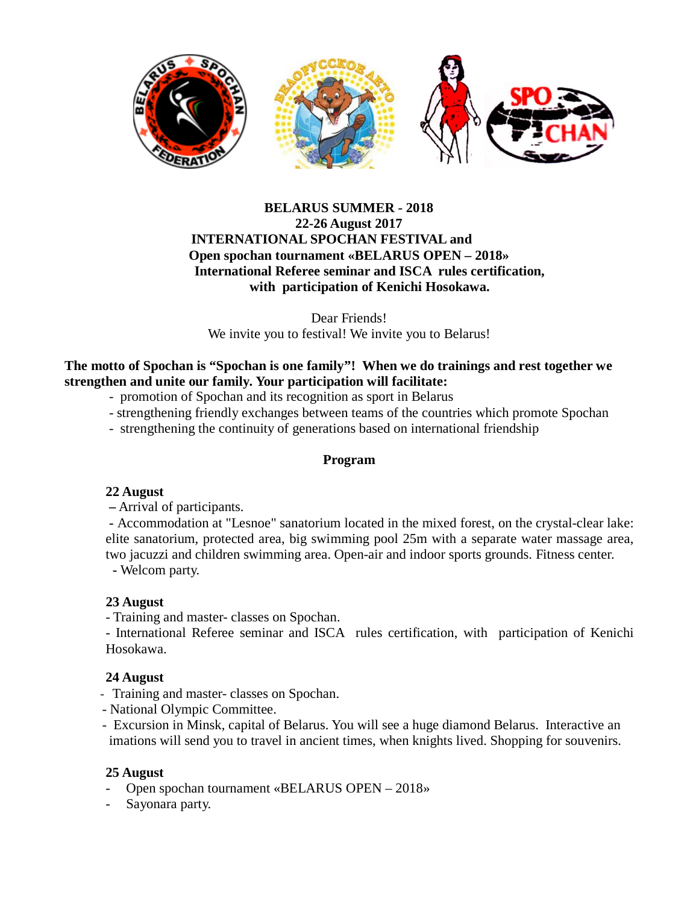

#### **BELARUS SUMMER - 2018 22-26 August 2017 INTERNATIONAL SPOCHAN FESTIVAL and Open spochan tournament «BELARUS OPEN – 2018» International Referee seminar and ISCA rules certification, with participation of Kenichi Hosokawa.**

Dear Friends! We invite you to festival! We invite you to Belarus!

# **The motto of Spochan is "Spochan is one family"! When we do trainings and rest together we strengthen and unite our family. Your participation will facilitate:**

- promotion of Spochan and its recognition as sport in Belarus
- strengthening friendly exchanges between teams of the countries which promote Spochan
- strengthening the continuity of generations based on international friendship

# **Program**

#### **22 August**

**–** Arrival of participants.

**-** Accommodation at "Lesnoe" sanatorium located in the mixed forest, on the crystal-clear lake: elite sanatorium, protected area, big swimming pool 25m with a separate water massage area, two jacuzzi and children swimming area. Open-air and indoor sports grounds. Fitness center.

 **-** Welcom party.

# **23 August**

- Training and master- classes on Spochan.

- International Referee seminar and ISCA rules certification, with participation of Kenichi Hosokawa.

# **24 August**

- Training and master- classes on Spochan.
- National Olympic Committee.
- Excursion in Minsk, capital of Belarus. You will see a huge diamond Belarus. Interactive an imations will send you to travel in ancient times, when knights lived. Shopping for souvenirs.

# **25 August**

- Open spochan tournament «BELARUS OPEN 2018»
- Sayonara party.